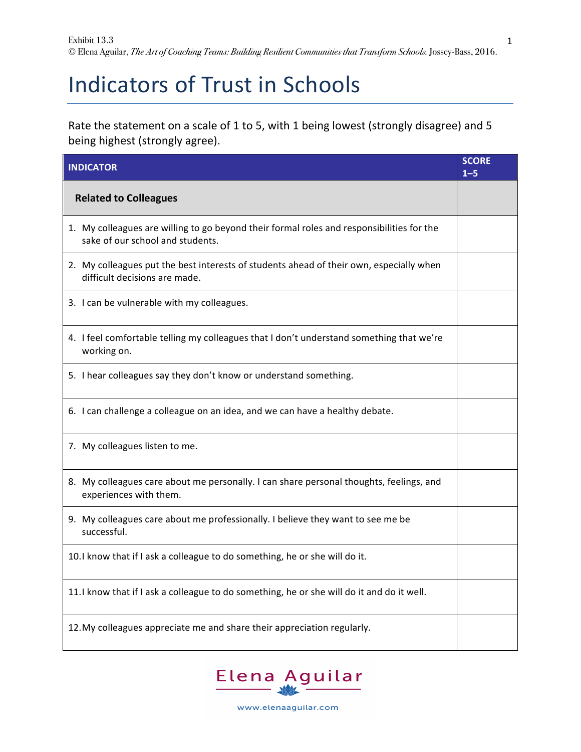## Indicators of Trust in Schools

Rate the statement on a scale of 1 to 5, with 1 being lowest (strongly disagree) and 5 being highest (strongly agree).

| <b>INDICATOR</b>                                                                                                              | <b>SCORE</b><br>$1 - 5$ |
|-------------------------------------------------------------------------------------------------------------------------------|-------------------------|
| <b>Related to Colleagues</b>                                                                                                  |                         |
| 1. My colleagues are willing to go beyond their formal roles and responsibilities for the<br>sake of our school and students. |                         |
| 2. My colleagues put the best interests of students ahead of their own, especially when<br>difficult decisions are made.      |                         |
| 3. I can be vulnerable with my colleagues.                                                                                    |                         |
| 4. I feel comfortable telling my colleagues that I don't understand something that we're<br>working on.                       |                         |
| 5. I hear colleagues say they don't know or understand something.                                                             |                         |
| 6. I can challenge a colleague on an idea, and we can have a healthy debate.                                                  |                         |
| 7. My colleagues listen to me.                                                                                                |                         |
| 8. My colleagues care about me personally. I can share personal thoughts, feelings, and<br>experiences with them.             |                         |
| 9. My colleagues care about me professionally. I believe they want to see me be<br>successful.                                |                         |
| 10.1 know that if I ask a colleague to do something, he or she will do it.                                                    |                         |
| 11. I know that if I ask a colleague to do something, he or she will do it and do it well.                                    |                         |
| 12. My colleagues appreciate me and share their appreciation regularly.                                                       |                         |



www.elenaaguilar.com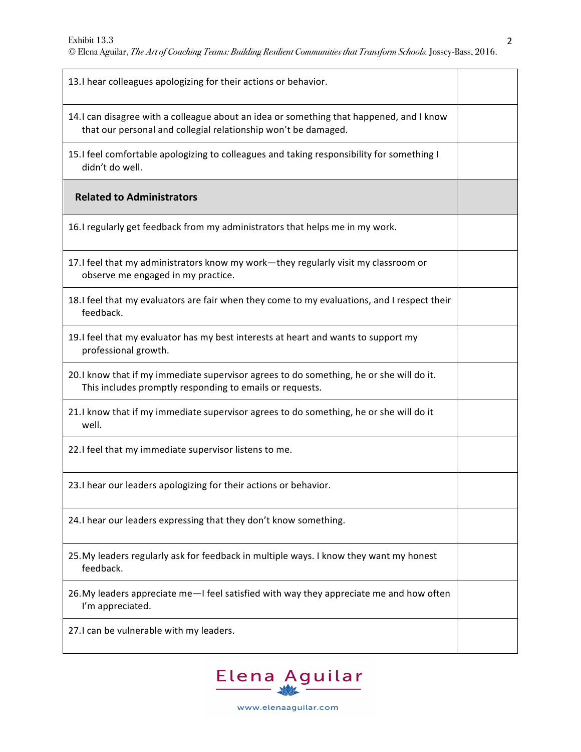| 13.I hear colleagues apologizing for their actions or behavior.                                                                                           |  |
|-----------------------------------------------------------------------------------------------------------------------------------------------------------|--|
| 14.I can disagree with a colleague about an idea or something that happened, and I know<br>that our personal and collegial relationship won't be damaged. |  |
| 15.1 feel comfortable apologizing to colleagues and taking responsibility for something I<br>didn't do well.                                              |  |
| <b>Related to Administrators</b>                                                                                                                          |  |
| 16.I regularly get feedback from my administrators that helps me in my work.                                                                              |  |
| 17.I feel that my administrators know my work-they regularly visit my classroom or<br>observe me engaged in my practice.                                  |  |
| 18.1 feel that my evaluators are fair when they come to my evaluations, and I respect their<br>feedback.                                                  |  |
| 19.I feel that my evaluator has my best interests at heart and wants to support my<br>professional growth.                                                |  |
| 20.1 know that if my immediate supervisor agrees to do something, he or she will do it.<br>This includes promptly responding to emails or requests.       |  |
| 21.I know that if my immediate supervisor agrees to do something, he or she will do it<br>well.                                                           |  |
| 22.I feel that my immediate supervisor listens to me.                                                                                                     |  |
| 23.1 hear our leaders apologizing for their actions or behavior.                                                                                          |  |
| 24.I hear our leaders expressing that they don't know something.                                                                                          |  |
| 25. My leaders regularly ask for feedback in multiple ways. I know they want my honest<br>feedback.                                                       |  |
| 26. My leaders appreciate me - I feel satisfied with way they appreciate me and how often<br>I'm appreciated.                                             |  |
| 27.I can be vulnerable with my leaders.                                                                                                                   |  |



www.elenaaguilar.com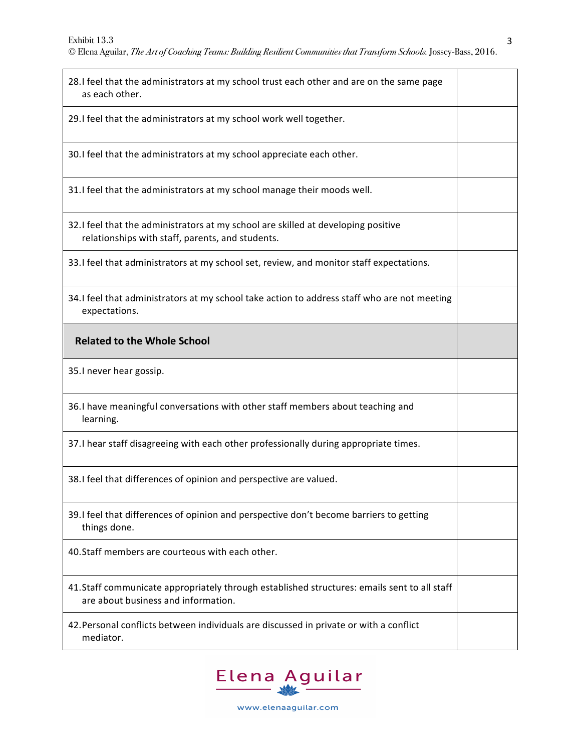| 28.I feel that the administrators at my school trust each other and are on the same page<br>as each other.                             |  |
|----------------------------------------------------------------------------------------------------------------------------------------|--|
| 29. I feel that the administrators at my school work well together.                                                                    |  |
| 30.1 feel that the administrators at my school appreciate each other.                                                                  |  |
| 31. I feel that the administrators at my school manage their moods well.                                                               |  |
| 32. I feel that the administrators at my school are skilled at developing positive<br>relationships with staff, parents, and students. |  |
| 33. I feel that administrators at my school set, review, and monitor staff expectations.                                               |  |
| 34.I feel that administrators at my school take action to address staff who are not meeting<br>expectations.                           |  |
| <b>Related to the Whole School</b>                                                                                                     |  |
|                                                                                                                                        |  |
| 35.I never hear gossip.                                                                                                                |  |
| 36.I have meaningful conversations with other staff members about teaching and<br>learning.                                            |  |
| 37.I hear staff disagreeing with each other professionally during appropriate times.                                                   |  |
| 38.1 feel that differences of opinion and perspective are valued.                                                                      |  |
| 39.I feel that differences of opinion and perspective don't become barriers to getting<br>things done.                                 |  |
| 40. Staff members are courteous with each other.                                                                                       |  |
| 41.Staff communicate appropriately through established structures: emails sent to all staff<br>are about business and information.     |  |



www.elenaaguilar.com